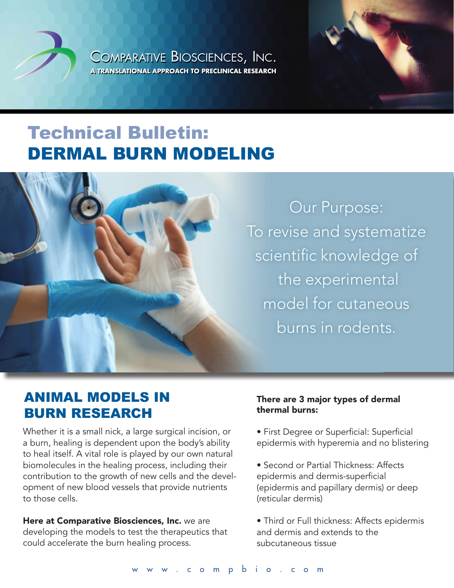COMPARATIVE BIOSCIENCES, INC. COMPARATIVE BIOSCIENCES, INC. **A TRANSLATIONAL APPROACH TO PRECLINICAL RESEARCH** COMPARATIVE BIOSCIENCES, INC. **A TRANSLATIONAL APPROACH TO PRECLINICAL RESEARCH A TRANSLATIONAL APPROACH TO PRECLINICAL RESEARCH**





#### **ANIMAL MODELS IN BURN RESEARCH** clinical Contract Research Organization (CRO), has ponn regearch <sub>C</sub>

**Dermatology Overview**

Whether it is a small nick, a large surgical incision, or a burn, healing is dependent upon the body's ability to heal itself. A vital role is played by our own natural biomolecules in the healing process, including their contribution to the growth of new cells and the develcomment of new blood vessels that provide nutrients opment of new blood vessels that provide nutrients sponsumes in the man.<br>to those cells. dependent of now blood vessels that provide hather  $\sigma$  and  $\sigma$  complete submission and  $\sigma$ 

 $\overline{\mathbf{C}}$ Here at Comparative Biosciences, Inc. we are developing the models to test the therapeutics that could accelerate the burn healing process. studies in man.

## There are 3 major types of dermal thermal burns:

CBI provides a wide range of established and vali-

Dermal Pharmacology and Efficacy Studies

- First Degree or Superficial: Superficial that begine of superment. Superment.<br>
epidermis with hyperemia and no blistering epiderinis with hyperenna and no bilsten
- . Dermal inflammation  $\bullet$  Second or Partial Thickness: Affects epidermis and dermis-superficial (epidermis and papillary dermis) or deep (reticular dermis) . Keloid formation studies and custom model development.
	- Third or Full thickness: Affects epidermis  $\overline{\phantom{a}}$ .  $\overline{\phantom{a}}$ and dermis and extends to the subcutaneous tissue end dermit.<br>L subcutaneou: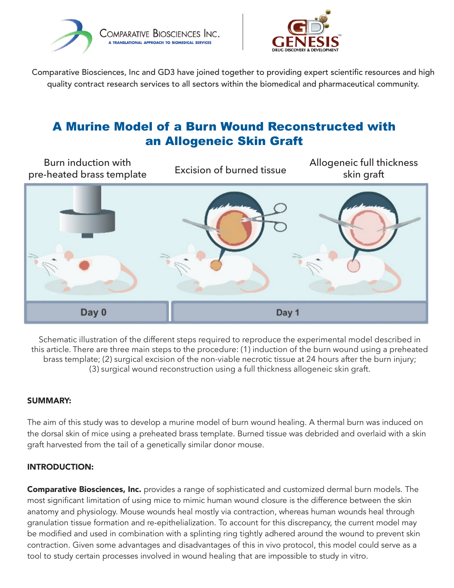



Comparative Biosciences, Inc and GD3 have joined together to providing expert scientific resources and high quality contract research services to all sectors within the biomedical and pharmaceutical community.

# A Murine Model of a Burn Wound Reconstructed with an Allogeneic Skin Graft



Schematic illustration of the different steps required to reproduce the experimental model described in this article. There are three main steps to the procedure: (1) induction of the burn wound using a preheated brass template; (2) surgical excision of the non-viable necrotic tissue at 24 hours after the burn injury; (3) surgical wound reconstruction using a full thickness allogeneic skin graft.

#### SUMMARY:

The aim of this study was to develop a murine model of burn wound healing. A thermal burn was induced on the dorsal skin of mice using a preheated brass template. Burned tissue was debrided and overlaid with a skin graft harvested from the tail of a genetically similar donor mouse.

#### INTRODUCTION:

**Comparative Biosciences, Inc.** provides a range of sophisticated and customized dermal burn models. The most significant limitation of using mice to mimic human wound closure is the difference between the skin anatomy and physiology. Mouse wounds heal mostly via contraction, whereas human wounds heal through granulation tissue formation and re-epithelialization. To account for this discrepancy, the current model may be modified and used in combination with a splinting ring tightly adhered around the wound to prevent skin contraction. Given some advantages and disadvantages of this in vivo protocol, this model could serve as a tool to study certain processes involved in wound healing that are impossible to study in vitro.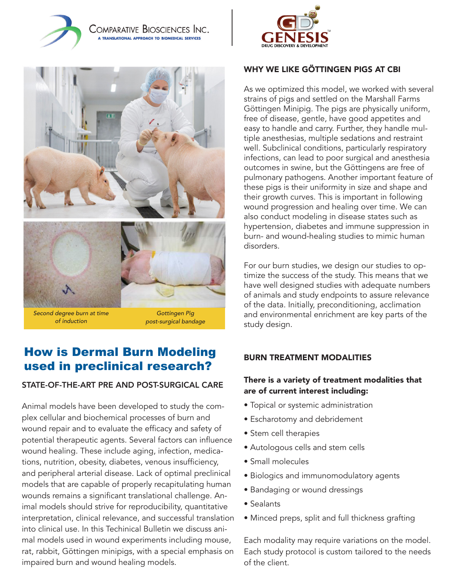







*Second degree burn at time of induction*

*Gottingen Pig post-surgical bandage*

## How is Dermal Burn Modeling used in preclinical research?

## STATE-OF-THE-ART PRE AND POST-SURGICAL CARE

Animal models have been developed to study the complex cellular and biochemical processes of burn and wound repair and to evaluate the efficacy and safety of potential therapeutic agents. Several factors can influence wound healing. These include aging, infection, medications, nutrition, obesity, diabetes, venous insufficiency, and peripheral arterial disease. Lack of optimal preclinical models that are capable of properly recapitulating human wounds remains a significant translational challenge. Animal models should strive for reproducibility, quantitative interpretation, clinical relevance, and successful translation into clinical use. In this Techinical Bulletin we discuss animal models used in wound experiments including mouse, rat, rabbit, Göttingen minipigs, with a special emphasis on impaired burn and wound healing models.

## WHY WE LIKE GÖTTINGEN PIGS AT CBI

As we optimized this model, we worked with several strains of pigs and settled on the Marshall Farms Göttingen Minipig. The pigs are physically uniform, free of disease, gentle, have good appetites and easy to handle and carry. Further, they handle multiple anesthesias, multiple sedations and restraint well. Subclinical conditions, particularly respiratory infections, can lead to poor surgical and anesthesia outcomes in swine, but the Göttingens are free of pulmonary pathogens. Another important feature of these pigs is their uniformity in size and shape and their growth curves. This is important in following wound progression and healing over time. We can also conduct modeling in disease states such as hypertension, diabetes and immune suppression in burn- and wound-healing studies to mimic human disorders.

For our burn studies, we design our studies to optimize the success of the study. This means that we have well designed studies with adequate numbers of animals and study endpoints to assure relevance of the data. Initially, preconditioning, acclimation and environmental enrichment are key parts of the study design.

#### BURN TREATMENT MODALITIES

#### There is a variety of treatment modalities that are of current interest including:

- Topical or systemic administration
- Escharotomy and debridement
- Stem cell therapies
- Autologous cells and stem cells
- Small molecules
- Biologics and immunomodulatory agents
- Bandaging or wound dressings
- Sealants
- Minced preps, split and full thickness grafting

Each modality may require variations on the model. Each study protocol is custom tailored to the needs of the client.